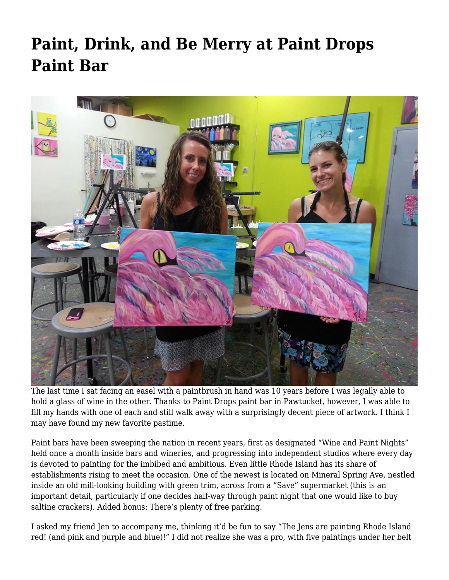## **[Paint, Drink, and Be Merry at Paint Drops](https://motifri.com/paint-drink-and-be-merry-at-paint-drops-paint-bar/) [Paint Bar](https://motifri.com/paint-drink-and-be-merry-at-paint-drops-paint-bar/)**



The last time I sat facing an easel with a paintbrush in hand was 10 years before I was legally able to hold a glass of wine in the other. Thanks to Paint Drops paint bar in Pawtucket, however, I was able to fill my hands with one of each and still walk away with a surprisingly decent piece of artwork. I think I may have found my new favorite pastime.

Paint bars have been sweeping the nation in recent years, first as designated "Wine and Paint Nights" held once a month inside bars and wineries, and progressing into independent studios where every day is devoted to painting for the imbibed and ambitious. Even little Rhode Island has its share of establishments rising to meet the occasion. One of the newest is located on Mineral Spring Ave, nestled inside an old mill-looking building with green trim, across from a "Save" supermarket (this is an important detail, particularly if one decides half-way through paint night that one would like to buy saltine crackers). Added bonus: There's plenty of free parking.

I asked my friend Jen to accompany me, thinking it'd be fun to say "The Jens are painting Rhode Island red! (and pink and purple and blue)!" I did not realize she was a pro, with five paintings under her belt